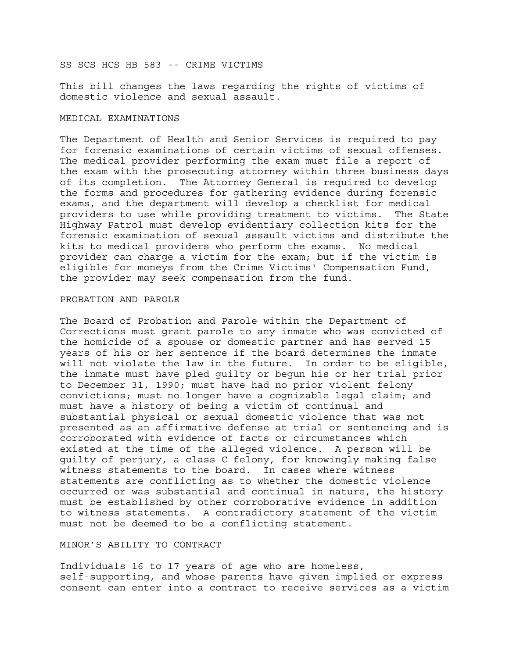SS SCS HCS HB 583 -- CRIME VICTIMS

This bill changes the laws regarding the rights of victims of domestic violence and sexual assault.

## MEDICAL EXAMINATIONS

The Department of Health and Senior Services is required to pay for forensic examinations of certain victims of sexual offenses. The medical provider performing the exam must file a report of the exam with the prosecuting attorney within three business days of its completion. The Attorney General is required to develop the forms and procedures for gathering evidence during forensic exams, and the department will develop a checklist for medical providers to use while providing treatment to victims. The State Highway Patrol must develop evidentiary collection kits for the forensic examination of sexual assault victims and distribute the kits to medical providers who perform the exams. No medical provider can charge a victim for the exam; but if the victim is eligible for moneys from the Crime Victims' Compensation Fund, the provider may seek compensation from the fund.

# PROBATION AND PAROLE

The Board of Probation and Parole within the Department of Corrections must grant parole to any inmate who was convicted of the homicide of a spouse or domestic partner and has served 15 years of his or her sentence if the board determines the inmate will not violate the law in the future. In order to be eligible, the inmate must have pled guilty or begun his or her trial prior to December 31, 1990; must have had no prior violent felony convictions; must no longer have a cognizable legal claim; and must have a history of being a victim of continual and substantial physical or sexual domestic violence that was not presented as an affirmative defense at trial or sentencing and is corroborated with evidence of facts or circumstances which existed at the time of the alleged violence. A person will be guilty of perjury, a class C felony, for knowingly making false witness statements to the board. In cases where witness statements are conflicting as to whether the domestic violence occurred or was substantial and continual in nature, the history must be established by other corroborative evidence in addition to witness statements. A contradictory statement of the victim must not be deemed to be a conflicting statement.

# MINOR'S ABILITY TO CONTRACT

Individuals 16 to 17 years of age who are homeless, self-supporting, and whose parents have given implied or express consent can enter into a contract to receive services as a victim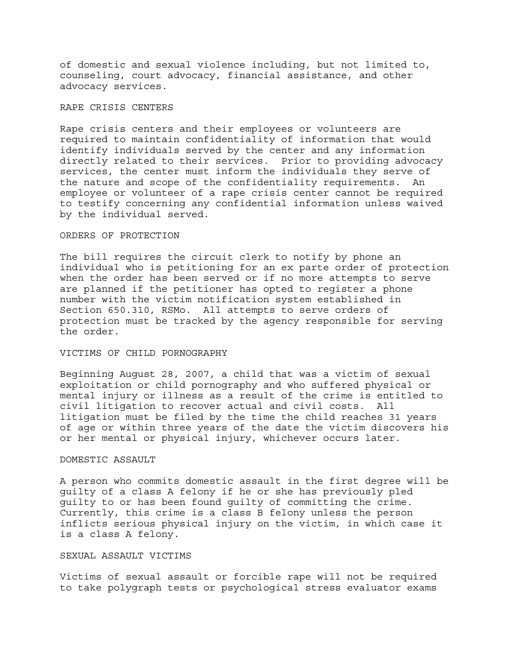of domestic and sexual violence including, but not limited to, counseling, court advocacy, financial assistance, and other advocacy services.

# RAPE CRISIS CENTERS

Rape crisis centers and their employees or volunteers are required to maintain confidentiality of information that would identify individuals served by the center and any information directly related to their services. Prior to providing advocacy services, the center must inform the individuals they serve of the nature and scope of the confidentiality requirements. An employee or volunteer of a rape crisis center cannot be required to testify concerning any confidential information unless waived by the individual served.

# ORDERS OF PROTECTION

The bill requires the circuit clerk to notify by phone an individual who is petitioning for an ex parte order of protection when the order has been served or if no more attempts to serve are planned if the petitioner has opted to register a phone number with the victim notification system established in Section 650.310, RSMo. All attempts to serve orders of protection must be tracked by the agency responsible for serving the order.

#### VICTIMS OF CHILD PORNOGRAPHY

Beginning August 28, 2007, a child that was a victim of sexual exploitation or child pornography and who suffered physical or mental injury or illness as a result of the crime is entitled to civil litigation to recover actual and civil costs. All litigation must be filed by the time the child reaches 31 years of age or within three years of the date the victim discovers his or her mental or physical injury, whichever occurs later.

## DOMESTIC ASSAULT

A person who commits domestic assault in the first degree will be guilty of a class A felony if he or she has previously pled guilty to or has been found guilty of committing the crime. Currently, this crime is a class B felony unless the person inflicts serious physical injury on the victim, in which case it is a class A felony.

# SEXUAL ASSAULT VICTIMS

Victims of sexual assault or forcible rape will not be required to take polygraph tests or psychological stress evaluator exams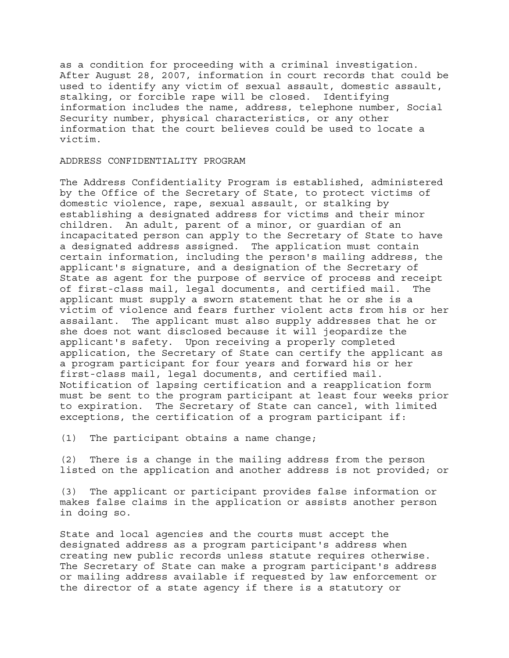as a condition for proceeding with a criminal investigation. After August 28, 2007, information in court records that could be used to identify any victim of sexual assault, domestic assault, stalking, or forcible rape will be closed. Identifying information includes the name, address, telephone number, Social Security number, physical characteristics, or any other information that the court believes could be used to locate a victim.

## ADDRESS CONFIDENTIALITY PROGRAM

The Address Confidentiality Program is established, administered by the Office of the Secretary of State, to protect victims of domestic violence, rape, sexual assault, or stalking by establishing a designated address for victims and their minor children. An adult, parent of a minor, or guardian of an incapacitated person can apply to the Secretary of State to have a designated address assigned. The application must contain certain information, including the person's mailing address, the applicant's signature, and a designation of the Secretary of State as agent for the purpose of service of process and receipt of first-class mail, legal documents, and certified mail. The applicant must supply a sworn statement that he or she is a victim of violence and fears further violent acts from his or her assailant. The applicant must also supply addresses that he or she does not want disclosed because it will jeopardize the applicant's safety. Upon receiving a properly completed application, the Secretary of State can certify the applicant as a program participant for four years and forward his or her first-class mail, legal documents, and certified mail. Notification of lapsing certification and a reapplication form must be sent to the program participant at least four weeks prior to expiration. The Secretary of State can cancel, with limited exceptions, the certification of a program participant if:

(1) The participant obtains a name change;

(2) There is a change in the mailing address from the person listed on the application and another address is not provided; or

(3) The applicant or participant provides false information or makes false claims in the application or assists another person in doing so.

State and local agencies and the courts must accept the designated address as a program participant's address when creating new public records unless statute requires otherwise. The Secretary of State can make a program participant's address or mailing address available if requested by law enforcement or the director of a state agency if there is a statutory or